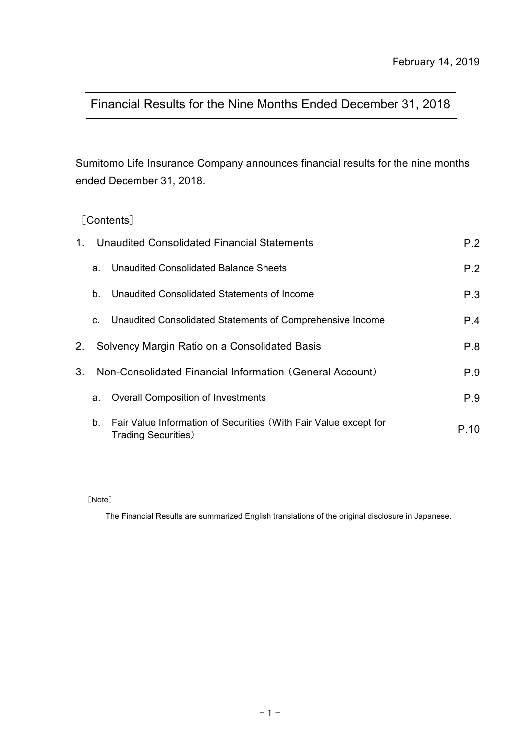# Financial Results for the Nine Months Ended December 31, 2018

Sumitomo Life Insurance Company announces financial results for the nine months ended December 31, 2018.

## [Contents]

| $1_{-}$        |    | Unaudited Consolidated Financial Statements                                                     | P.2  |
|----------------|----|-------------------------------------------------------------------------------------------------|------|
|                | a. | Unaudited Consolidated Balance Sheets                                                           | P.2  |
|                | b. | Unaudited Consolidated Statements of Income                                                     | P.3  |
|                | C. | Unaudited Consolidated Statements of Comprehensive Income                                       | P.4  |
| 2.             |    | Solvency Margin Ratio on a Consolidated Basis                                                   | P.8  |
| 3 <sub>1</sub> |    | Non-Consolidated Financial Information (General Account)                                        | P.9  |
|                | a. | <b>Overall Composition of Investments</b>                                                       | P.9  |
|                | b. | Fair Value Information of Securities (With Fair Value except for<br><b>Trading Securities</b> ) | P 10 |

[Note]

The Financial Results are summarized English translations of the original disclosure in Japanese.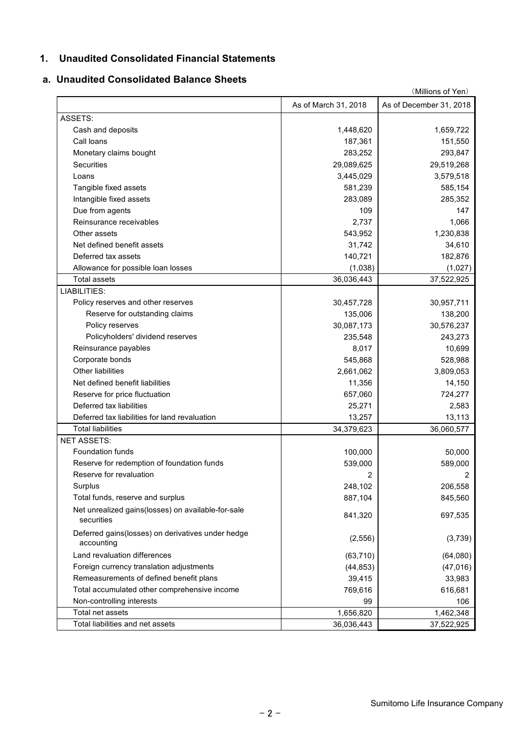## **1. Unaudited Consolidated Financial Statements**

### **a. Unaudited Consolidated Balance Sheets**

| (Millions of Yen)                                                |                      |                         |  |  |  |
|------------------------------------------------------------------|----------------------|-------------------------|--|--|--|
|                                                                  | As of March 31, 2018 | As of December 31, 2018 |  |  |  |
| ASSETS:                                                          |                      |                         |  |  |  |
| Cash and deposits                                                | 1,448,620            | 1,659,722               |  |  |  |
| Call loans                                                       | 187,361              | 151,550                 |  |  |  |
| Monetary claims bought                                           | 283,252              | 293,847                 |  |  |  |
| Securities                                                       | 29,089,625           | 29,519,268              |  |  |  |
| Loans                                                            | 3,445,029            | 3,579,518               |  |  |  |
| Tangible fixed assets                                            | 581,239              | 585,154                 |  |  |  |
| Intangible fixed assets                                          | 283,089              | 285,352                 |  |  |  |
| Due from agents                                                  | 109                  | 147                     |  |  |  |
| Reinsurance receivables                                          | 2,737                | 1,066                   |  |  |  |
| Other assets                                                     | 543,952              | 1,230,838               |  |  |  |
| Net defined benefit assets                                       | 31,742               | 34,610                  |  |  |  |
| Deferred tax assets                                              | 140,721              | 182,876                 |  |  |  |
| Allowance for possible loan losses                               | (1,038)              | (1,027)                 |  |  |  |
| <b>Total assets</b>                                              | 36,036,443           | 37,522,925              |  |  |  |
| LIABILITIES:                                                     |                      |                         |  |  |  |
| Policy reserves and other reserves                               | 30,457,728           | 30,957,711              |  |  |  |
| Reserve for outstanding claims                                   | 135,006              | 138,200                 |  |  |  |
| Policy reserves                                                  | 30,087,173           | 30,576,237              |  |  |  |
| Policyholders' dividend reserves                                 | 235,548              | 243,273                 |  |  |  |
| Reinsurance payables                                             | 8,017                | 10,699                  |  |  |  |
| Corporate bonds                                                  | 545,868              | 528,988                 |  |  |  |
| <b>Other liabilities</b>                                         | 2,661,062            | 3,809,053               |  |  |  |
| Net defined benefit liabilities                                  | 11,356               | 14,150                  |  |  |  |
| Reserve for price fluctuation                                    | 657,060              | 724,277                 |  |  |  |
| Deferred tax liabilities                                         | 25,271               | 2,583                   |  |  |  |
| Deferred tax liabilities for land revaluation                    | 13,257               | 13,113                  |  |  |  |
| <b>Total liabilities</b>                                         | 34,379,623           | 36,060,577              |  |  |  |
| <b>NET ASSETS:</b>                                               |                      |                         |  |  |  |
| <b>Foundation funds</b>                                          | 100,000              | 50,000                  |  |  |  |
| Reserve for redemption of foundation funds                       | 539,000              | 589,000                 |  |  |  |
| Reserve for revaluation                                          | 2                    | 2                       |  |  |  |
| Surplus                                                          | 248,102              | 206,558                 |  |  |  |
| Total funds, reserve and surplus                                 | 887,104              | 845,560                 |  |  |  |
| Net unrealized gains(losses) on available-for-sale<br>securities | 841,320              | 697,535                 |  |  |  |
| Deferred gains(losses) on derivatives under hedge<br>accounting  | (2, 556)             | (3,739)                 |  |  |  |
| Land revaluation differences                                     | (63, 710)            | (64,080)                |  |  |  |
| Foreign currency translation adjustments                         | (44, 853)            | (47, 016)               |  |  |  |
| Remeasurements of defined benefit plans                          | 39,415               | 33,983                  |  |  |  |
| Total accumulated other comprehensive income                     | 769,616              | 616,681                 |  |  |  |
| Non-controlling interests                                        | 99                   | 106                     |  |  |  |
| Total net assets                                                 | 1,656,820            | 1,462,348               |  |  |  |
| Total liabilities and net assets                                 | 36,036,443           | 37,522,925              |  |  |  |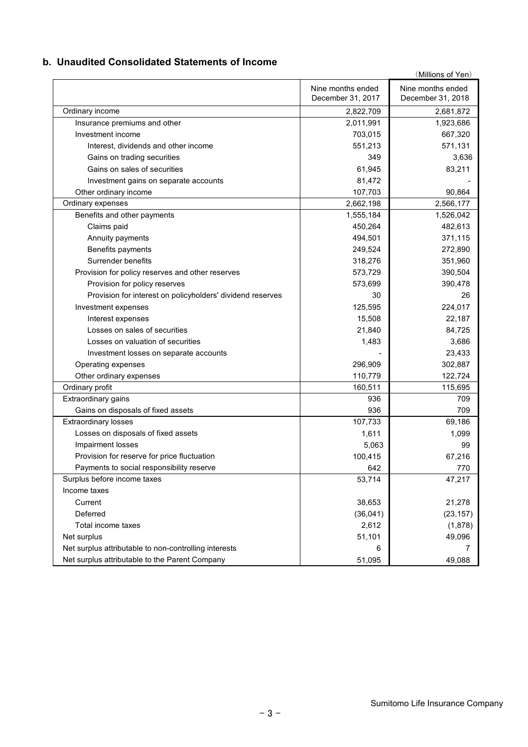## **b. Unaudited Consolidated Statements of Income**

|                                                            |                                        | (Millions of Yen)                      |
|------------------------------------------------------------|----------------------------------------|----------------------------------------|
|                                                            | Nine months ended<br>December 31, 2017 | Nine months ended<br>December 31, 2018 |
| Ordinary income                                            | 2,822,709                              | 2,681,872                              |
| Insurance premiums and other                               | 2,011,991                              | 1,923,686                              |
| Investment income                                          | 703,015                                | 667,320                                |
| Interest, dividends and other income                       | 551,213                                | 571,131                                |
| Gains on trading securities                                | 349                                    | 3,636                                  |
| Gains on sales of securities                               | 61,945                                 | 83,211                                 |
| Investment gains on separate accounts                      | 81,472                                 |                                        |
| Other ordinary income                                      | 107,703                                | 90,864                                 |
| Ordinary expenses                                          | 2,662,198                              | 2,566,177                              |
| Benefits and other payments                                | 1,555,184                              | 1,526,042                              |
| Claims paid                                                | 450,264                                | 482,613                                |
| Annuity payments                                           | 494,501                                | 371,115                                |
| Benefits payments                                          | 249,524                                | 272,890                                |
| Surrender benefits                                         | 318,276                                | 351,960                                |
| Provision for policy reserves and other reserves           | 573,729                                | 390,504                                |
| Provision for policy reserves                              | 573,699                                | 390,478                                |
| Provision for interest on policyholders' dividend reserves | 30                                     | 26                                     |
| Investment expenses                                        | 125,595                                | 224,017                                |
| Interest expenses                                          | 15,508                                 | 22,187                                 |
| Losses on sales of securities                              | 21,840                                 | 84,725                                 |
| Losses on valuation of securities                          | 1,483                                  | 3,686                                  |
| Investment losses on separate accounts                     |                                        | 23,433                                 |
| Operating expenses                                         | 296,909                                | 302,887                                |
| Other ordinary expenses                                    | 110,779                                | 122,724                                |
| Ordinary profit                                            | 160,511                                | 115,695                                |
| Extraordinary gains                                        | 936                                    | 709                                    |
| Gains on disposals of fixed assets                         | 936                                    | 709                                    |
| <b>Extraordinary losses</b>                                | 107,733                                | 69,186                                 |
| Losses on disposals of fixed assets                        | 1,611                                  | 1,099                                  |
| Impairment losses                                          | 5,063                                  | 99                                     |
| Provision for reserve for price fluctuation                | 100,415                                | 67,216                                 |
| Payments to social responsibility reserve                  | 642                                    | 770                                    |
| Surplus before income taxes                                | 53,714                                 | 47,217                                 |
| Income taxes                                               |                                        |                                        |
| Current                                                    | 38,653                                 | 21,278                                 |
| Deferred                                                   | (36,041)                               | (23, 157)                              |
| Total income taxes                                         | 2,612                                  | (1,878)                                |
| Net surplus                                                | 51,101                                 | 49,096                                 |
| Net surplus attributable to non-controlling interests      | 6                                      |                                        |
| Net surplus attributable to the Parent Company             | 51,095                                 | 49,088                                 |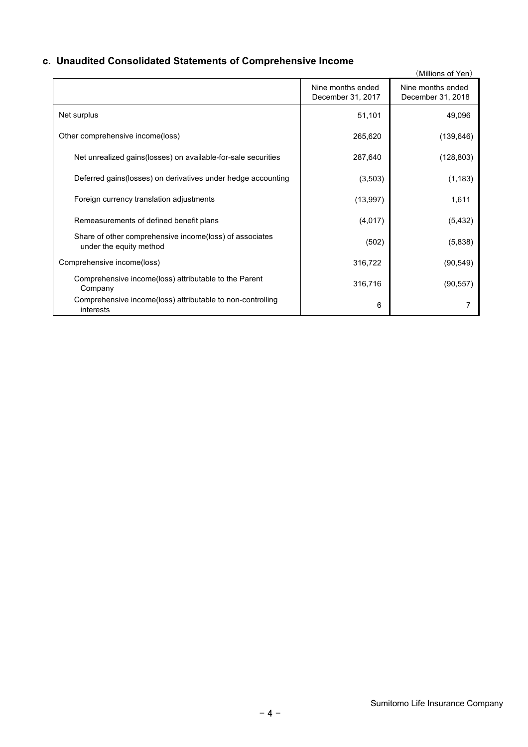## **c. Unaudited Consolidated Statements of Comprehensive Income**

|                                                                                    |                                        | (Millions of Yen)                      |
|------------------------------------------------------------------------------------|----------------------------------------|----------------------------------------|
|                                                                                    | Nine months ended<br>December 31, 2017 | Nine months ended<br>December 31, 2018 |
| Net surplus                                                                        | 51,101                                 | 49,096                                 |
| Other comprehensive income(loss)                                                   | 265,620                                | (139, 646)                             |
| Net unrealized gains (losses) on available-for-sale securities                     | 287,640                                | (128, 803)                             |
| Deferred gains (losses) on derivatives under hedge accounting                      | (3,503)                                | (1, 183)                               |
| Foreign currency translation adjustments                                           | (13,997)                               | 1,611                                  |
| Remeasurements of defined benefit plans                                            | (4,017)                                | (5, 432)                               |
| Share of other comprehensive income(loss) of associates<br>under the equity method | (502)                                  | (5,838)                                |
| Comprehensive income(loss)                                                         | 316,722                                | (90, 549)                              |
| Comprehensive income(loss) attributable to the Parent<br>Company                   | 316,716                                | (90, 557)                              |
| Comprehensive income(loss) attributable to non-controlling<br>interests            | 6                                      |                                        |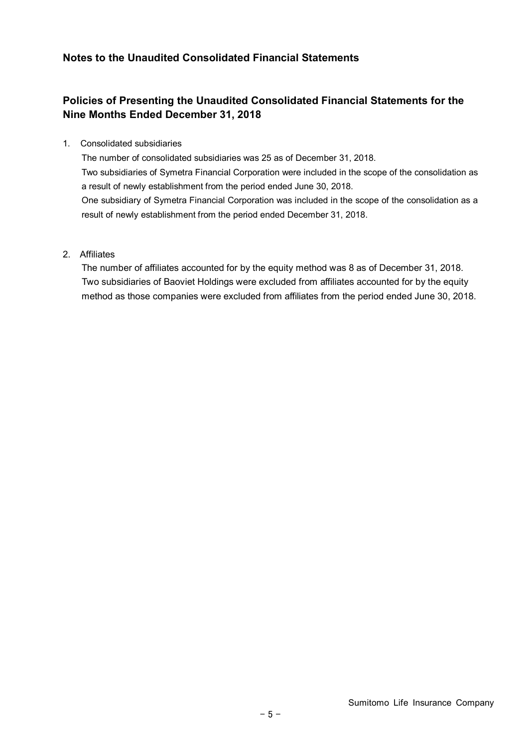## **Notes to the Unaudited Consolidated Financial Statements**

## **Policies of Presenting the Unaudited Consolidated Financial Statements for the Nine Months Ended December 31, 2018**

#### 1. Consolidated subsidiaries

The number of consolidated subsidiaries was 25 as of December 31, 2018. Two subsidiaries of Symetra Financial Corporation were included in the scope of the consolidation as a result of newly establishment from the period ended June 30, 2018. One subsidiary of Symetra Financial Corporation was included in the scope of the consolidation as a result of newly establishment from the period ended December 31, 2018.

#### 2. Affiliates

The number of affiliates accounted for by the equity method was 8 as of December 31, 2018. Two subsidiaries of Baoviet Holdings were excluded from affiliates accounted for by the equity method as those companies were excluded from affiliates from the period ended June 30, 2018.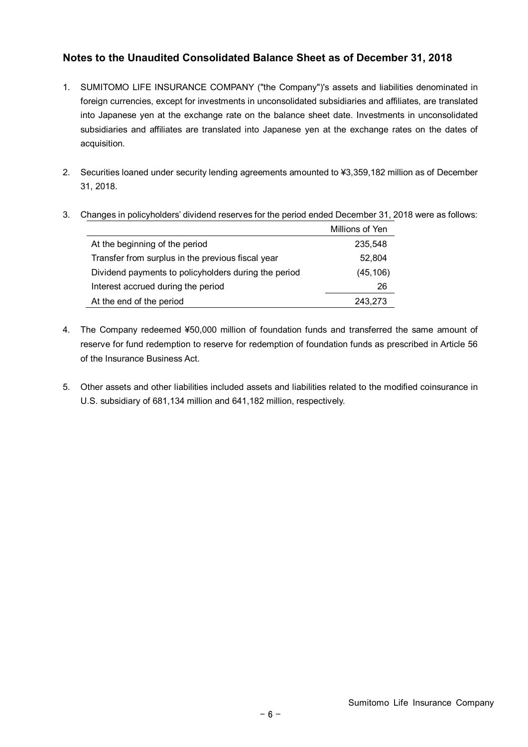## **Notes to the Unaudited Consolidated Balance Sheet as of December 31, 2018**

- 1. SUMITOMO LIFE INSURANCE COMPANY ("the Company")'s assets and liabilities denominated in foreign currencies, except for investments in unconsolidated subsidiaries and affiliates, are translated into Japanese yen at the exchange rate on the balance sheet date. Investments in unconsolidated subsidiaries and affiliates are translated into Japanese yen at the exchange rates on the dates of acquisition.
- 2. Securities loaned under security lending agreements amounted to ¥3,359,182 million as of December 31, 2018.

|                                                      | Millions of Yen |
|------------------------------------------------------|-----------------|
| At the beginning of the period                       | 235.548         |
| Transfer from surplus in the previous fiscal year    | 52.804          |
| Dividend payments to policyholders during the period | (45, 106)       |
| Interest accrued during the period                   | 26              |
| At the end of the period                             | 243,273         |

3. Changes in policyholders' dividend reserves for the period ended December 31, 2018 were as follows:

- 4. The Company redeemed ¥50,000 million of foundation funds and transferred the same amount of reserve for fund redemption to reserve for redemption of foundation funds as prescribed in Article 56 of the Insurance Business Act.
- 5. Other assets and other liabilities included assets and liabilities related to the modified coinsurance in U.S. subsidiary of 681,134 million and 641,182 million, respectively.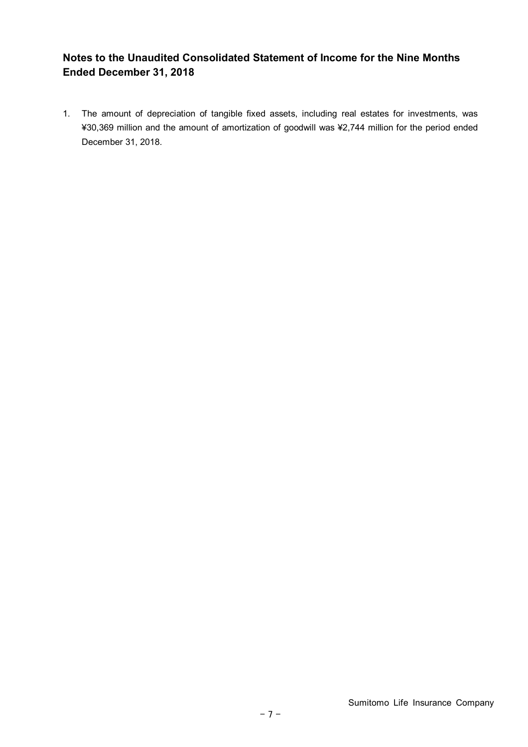## **Notes to the Unaudited Consolidated Statement of Income for the Nine Months Ended December 31, 2018**

1. The amount of depreciation of tangible fixed assets, including real estates for investments, was ¥30,369 million and the amount of amortization of goodwill was ¥2,744 million for the period ended December 31, 2018.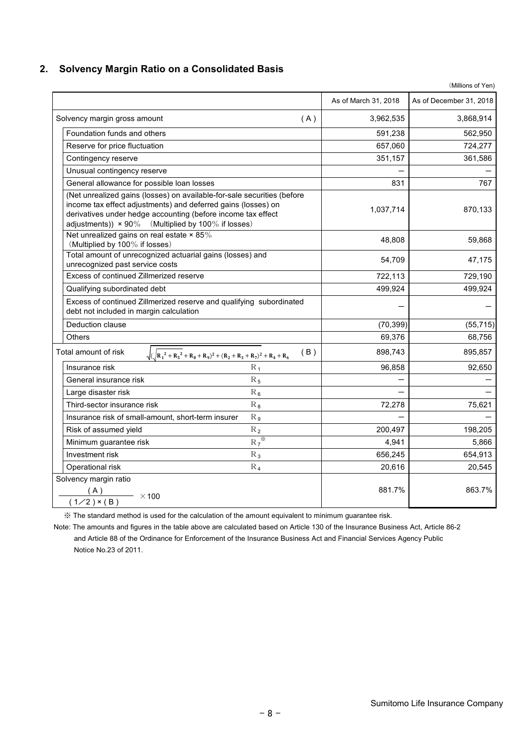## **2. Solvency Margin Ratio on a Consolidated Basis**

|                                                                                                                                                                                                                                                                       |                      | (Millions of Yen)       |
|-----------------------------------------------------------------------------------------------------------------------------------------------------------------------------------------------------------------------------------------------------------------------|----------------------|-------------------------|
|                                                                                                                                                                                                                                                                       | As of March 31, 2018 | As of December 31, 2018 |
| Solvency margin gross amount<br>(A)                                                                                                                                                                                                                                   | 3,962,535            | 3,868,914               |
| Foundation funds and others                                                                                                                                                                                                                                           | 591,238              | 562,950                 |
| Reserve for price fluctuation                                                                                                                                                                                                                                         | 657,060              | 724,277                 |
| Contingency reserve                                                                                                                                                                                                                                                   | 351,157              | 361,586                 |
| Unusual contingency reserve                                                                                                                                                                                                                                           |                      |                         |
| General allowance for possible loan losses                                                                                                                                                                                                                            | 831                  | 767                     |
| (Net unrealized gains (losses) on available-for-sale securities (before<br>income tax effect adjustments) and deferred gains (losses) on<br>derivatives under hedge accounting (before income tax effect<br>adjustments)) $\times$ 90% (Multiplied by 100% if losses) | 1,037,714            | 870,133                 |
| Net unrealized gains on real estate $\times$ 85%<br>(Multiplied by 100% if losses)                                                                                                                                                                                    | 48,808               | 59,868                  |
| Total amount of unrecognized actuarial gains (losses) and<br>unrecognized past service costs                                                                                                                                                                          | 54,709               | 47,175                  |
| Excess of continued Zillmerized reserve                                                                                                                                                                                                                               | 722,113              | 729,190                 |
| Qualifying subordinated debt                                                                                                                                                                                                                                          | 499,924              | 499,924                 |
| Excess of continued Zillmerized reserve and qualifying subordinated<br>debt not included in margin calculation                                                                                                                                                        |                      |                         |
| Deduction clause                                                                                                                                                                                                                                                      | (70, 399)            | (55, 715)               |
| Others                                                                                                                                                                                                                                                                | 69,376               | 68,756                  |
| Total amount of risk<br>(B)<br>$\sqrt{(R_1^2 + R_5^2 + R_8 + R_9)^2 + (R_2 + R_3 + R_7)^2 + R_4 + R_6}$                                                                                                                                                               | 898,743              | 895,857                 |
| $R_1$<br>Insurance risk                                                                                                                                                                                                                                               | 96,858               | 92,650                  |
| General insurance risk<br>$R_5$                                                                                                                                                                                                                                       |                      |                         |
| $R_6$<br>Large disaster risk                                                                                                                                                                                                                                          |                      |                         |
| Third-sector insurance risk<br>$R_8$                                                                                                                                                                                                                                  | 72,278               | 75,621                  |
| Insurance risk of small-amount, short-term insurer<br>$R_{9}$                                                                                                                                                                                                         |                      |                         |
| Risk of assumed yield<br>$R_2$                                                                                                                                                                                                                                        | 200,497              | 198,205                 |
| $R_7^{\overline{\mathcal{K}}}$<br>Minimum guarantee risk                                                                                                                                                                                                              | 4,941                | 5,866                   |
| Investment risk<br>$R_3$                                                                                                                                                                                                                                              | 656,245              | 654,913                 |
| $R_4$<br>Operational risk                                                                                                                                                                                                                                             | 20,616               | 20,545                  |
| Solvency margin ratio<br>$\frac{(A)}{(1/2) \times (B)}$ × 100                                                                                                                                                                                                         | 881.7%               | 863.7%                  |

※ The standard method is used for the calculation of the amount equivalent to minimum guarantee risk.

Note: The amounts and figures in the table above are calculated based on Article 130 of the Insurance Business Act, Article 86-2 and Article 88 of the Ordinance for Enforcement of the Insurance Business Act and Financial Services Agency Public Notice No.23 of 2011.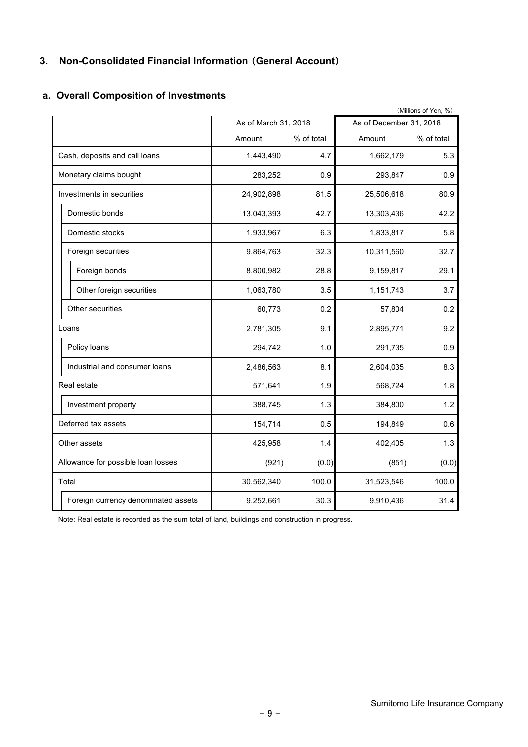## **3. Non-Consolidated Financial Information** (**General Account**)

|                                     |                      |            |                         | (Millions of Yen, %) |
|-------------------------------------|----------------------|------------|-------------------------|----------------------|
|                                     | As of March 31, 2018 |            | As of December 31, 2018 |                      |
|                                     | Amount               | % of total | Amount                  | % of total           |
| Cash, deposits and call loans       | 1,443,490            | 4.7        | 1,662,179               | 5.3                  |
| Monetary claims bought              | 283,252              | 0.9        | 293,847                 | 0.9                  |
| Investments in securities           | 24,902,898           | 81.5       | 25,506,618              | 80.9                 |
| Domestic bonds                      | 13,043,393           | 42.7       | 13,303,436              | 42.2                 |
| Domestic stocks                     | 1,933,967            | 6.3        | 1,833,817               | 5.8                  |
| Foreign securities                  | 9,864,763            | 32.3       | 10,311,560              | 32.7                 |
| Foreign bonds                       | 8,800,982            | 28.8       | 9,159,817               | 29.1                 |
| Other foreign securities            | 1,063,780            | 3.5        | 1,151,743               | 3.7                  |
| Other securities                    | 60,773               | 0.2        | 57,804                  | 0.2                  |
| Loans                               | 2,781,305            | 9.1        | 2,895,771               | 9.2                  |
| Policy loans                        | 294,742              | 1.0        | 291,735                 | 0.9                  |
| Industrial and consumer loans       | 2,486,563            | 8.1        | 2,604,035               | 8.3                  |
| Real estate                         | 571,641              | 1.9        | 568,724                 | 1.8                  |
| Investment property                 | 388,745              | 1.3        | 384,800                 | 1.2                  |
| Deferred tax assets                 | 154,714              | 0.5        | 194,849                 | 0.6                  |
| Other assets                        | 425,958              | 1.4        | 402,405                 | 1.3                  |
| Allowance for possible loan losses  | (921)                | (0.0)      | (851)                   | (0.0)                |
| Total                               | 30,562,340           | 100.0      | 31,523,546              | 100.0                |
| Foreign currency denominated assets | 9,252,661            | 30.3       | 9,910,436               | 31.4                 |

## **a. Overall Composition of Investments**

Note: Real estate is recorded as the sum total of land, buildings and construction in progress.